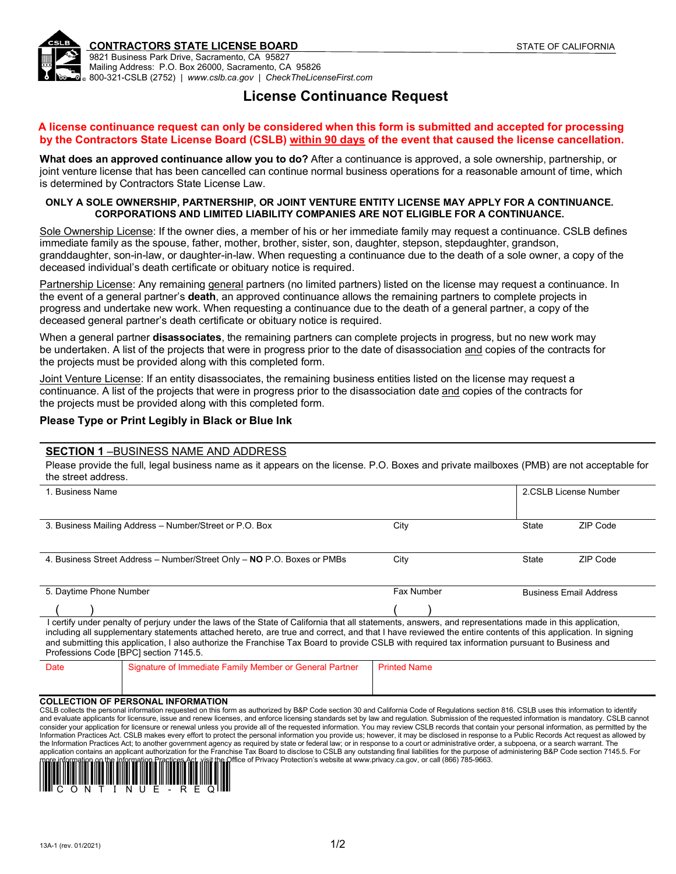

#### **CONTRACTORS STATE LICENSE BOARD STATE OF CALIFORNIA**

9821 Business Park Drive, Sacramento, CA 95827 Mailing Address: P.O. Box 26000, Sacramento, CA 95826 800-321-CSLB (2752) | *www.cslb.ca.gov* | *CheckTheLicenseFirst.com*

# **License Continuance Request**

#### **A license continuance request can only be considered when this form is submitted and accepted for processing** by the Contractors State License Board (CSLB) within 90 days of the event that caused the license cancellation.

**What does an approved continuance allow you to do?** After a continuance is approved, a sole ownership, partnership, or joint venture license that has been cancelled can continue normal business operations for a reasonable amount of time, which is determined by Contractors State License Law.

#### **ONLY A SOLE OWNERSHIP, PARTNERSHIP, OR JOINT VENTURE ENTITY LICENSE MAY APPLY FOR A CONTINUANCE. CORPORATIONS AND LIMITED LIABILITY COMPANIES ARE NOT ELIGIBLE FOR A CONTINUANCE.**

Sole Ownership License: If the owner dies, a member of his or her immediate family may request a continuance. CSLB defines immediate family as the spouse, father, mother, brother, sister, son, daughter, stepson, stepdaughter, grandson, granddaughter, son-in-law, or daughter-in-law. When requesting a continuance due to the death of a sole owner, a copy of the deceased individual's death certificate or obituary notice is required.

Partnership License: Any remaining general partners (no limited partners) listed on the license may request a continuance. In the event of a general partner's **death**, an approved continuance allows the remaining partners to complete projects in progress and undertake new work. When requesting a continuance due to the death of a general partner, a copy of the deceased general partner's death certificate or obituary notice is required.

When a general partner **disassociates**, the remaining partners can complete projects in progress, but no new work may be undertaken. A list of the projects that were in progress prior to the date of disassociation and copies of the contracts for the projects must be provided along with this completed form.

Joint Venture License: If an entity disassociates, the remaining business entities listed on the license may request a continuance. A list of the projects that were in progress prior to the disassociation date and copies of the contracts for the projects must be provided along with this completed form.

## **Please Type or Print Legibly in Black or Blue Ink**

#### **SECTION 1** –BUSINESS NAME AND ADDRESS

Please provide the full, legal business name as it appears on the license. P.O. Boxes and private mailboxes (PMB) are not acceptable for the street address.

| 1. Business Name        |                                                                                                                                                                                                                                                                                                                                                                                                                                                                                                                      |                     | 2.CSLB License Number |                               |  |
|-------------------------|----------------------------------------------------------------------------------------------------------------------------------------------------------------------------------------------------------------------------------------------------------------------------------------------------------------------------------------------------------------------------------------------------------------------------------------------------------------------------------------------------------------------|---------------------|-----------------------|-------------------------------|--|
|                         | 3. Business Mailing Address - Number/Street or P.O. Box                                                                                                                                                                                                                                                                                                                                                                                                                                                              | City                | State                 | ZIP Code                      |  |
|                         | 4. Business Street Address - Number/Street Only - NO P.O. Boxes or PMBs                                                                                                                                                                                                                                                                                                                                                                                                                                              | City                | State                 | ZIP Code                      |  |
| 5. Daytime Phone Number |                                                                                                                                                                                                                                                                                                                                                                                                                                                                                                                      | Fax Number          |                       | <b>Business Email Address</b> |  |
|                         |                                                                                                                                                                                                                                                                                                                                                                                                                                                                                                                      |                     |                       |                               |  |
|                         | I certify under penalty of perjury under the laws of the State of California that all statements, answers, and representations made in this application,<br>including all supplementary statements attached hereto, are true and correct, and that I have reviewed the entire contents of this application. In signing<br>and submitting this application, I also authorize the Franchise Tax Board to provide CSLB with required tax information pursuant to Business and<br>Professions Code [BPC] section 7145.5. |                     |                       |                               |  |
| Date                    | Signature of Immediate Family Member or General Partner                                                                                                                                                                                                                                                                                                                                                                                                                                                              | <b>Printed Name</b> |                       |                               |  |

and evaluate applicants for licensure, issue and renew licenses, and enforce licensing standards set by law and regulation. Submission of the requested information is mandatory. CSLB cannot consider your application for licensure or renewal unless you provide all of the requested information. You may review CSLB records that contain your personal information, as permitted by the<br>Information Practices Act. CSL the Information Practices Act; to another government agency as required by state or federal law; or in response to a court or administrative order, a subpoena, or a search warrant. The application contains an applicant authorization for the Franchise Tax Board to disclose to CSLB any outstanding final liabilities for the purpose of administering B&P Code section 7145.5. For Office of Privacy Protection's website a[t www.privacy.ca.gov,](http://www.privacy.ca.gov/) or call (866) 785-9663.